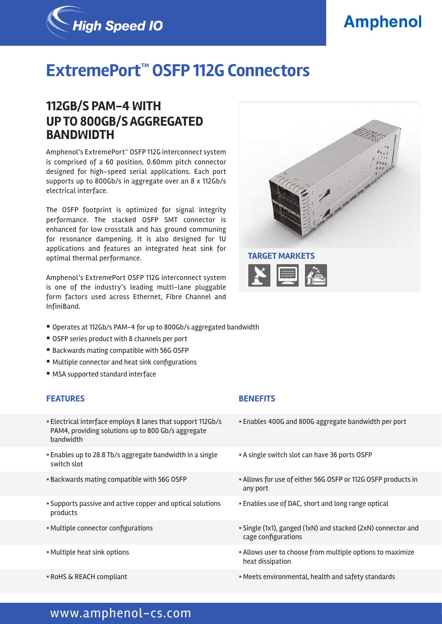# **Amphenol**



# **ExtremePort™ OSFP 112G Connectors**

## **112GB/S PAM-4 WITH UP TO 800GB/S AGGREGATED BANDWIDTH**

Amphenol's ExtremePort™ OSFP 112G interconnect system is comprised of a 60 position, 0.60mm pitch connector designed for high-speed serial applications. Each port supports up to 800Gb/s in aggregate over an 8 x 112Gb/s electrical interface.

The OSFP footprint is optimized for signal integrity performance. The stacked OSFP SMT connector is enhanced for low crosstalk and has ground communing for resonance dampening. It is also designed for 1U applications and features an integrated heat sink for optimal thermal performance.

Amphenol's ExtremePort OSFP 112G interconnect system is one of the industry's leading multi-lane pluggable form factors used across Ethernet, Fibre Channel and InfiniBand.



- Operates at 112Gb/s PAM-4 for up to 800Gb/s aggregated bandwidth
- OSFP series product with 8 channels per port
- Backwards mating compatible with 56G OSFP
- Multiple connector and heat sink configurations
- MSA supported standard interface

### **FEATURES BENEFITS**

- § Electrical interface employs 8 lanes that support 112Gb/s PAM4, providing solutions up to 800 Gb/s aggregate bandwidth
- **Enables up to 28.8 Tb/s aggregate bandwidth in a single** switch slot
- 
- § Supports passive and active copper and optical solutions products
- 
- 
- 

- § Enables 400G and 800G aggregate bandwidth per port
- § A single switch slot can have 36 ports OSFP
- Backwards mating compatible with 56G OSFP **•• Allows for use of either 56G OSFP or 112G OSFP products in** any port
	- **Enables use of DAC, short and long range optical**
- Multiple connector configurations  **Single (1x1), ganged (1xN)** and stacked (2xN) connector and cage configurations
- Multiple heat sink options **Exercise 3 Allows** user to choose from multiple options to maximize heat dissipation
- RoHS & REACH compliant in the standards in the Meets environmental, health and safety standards

## www.amphenol-cs.com